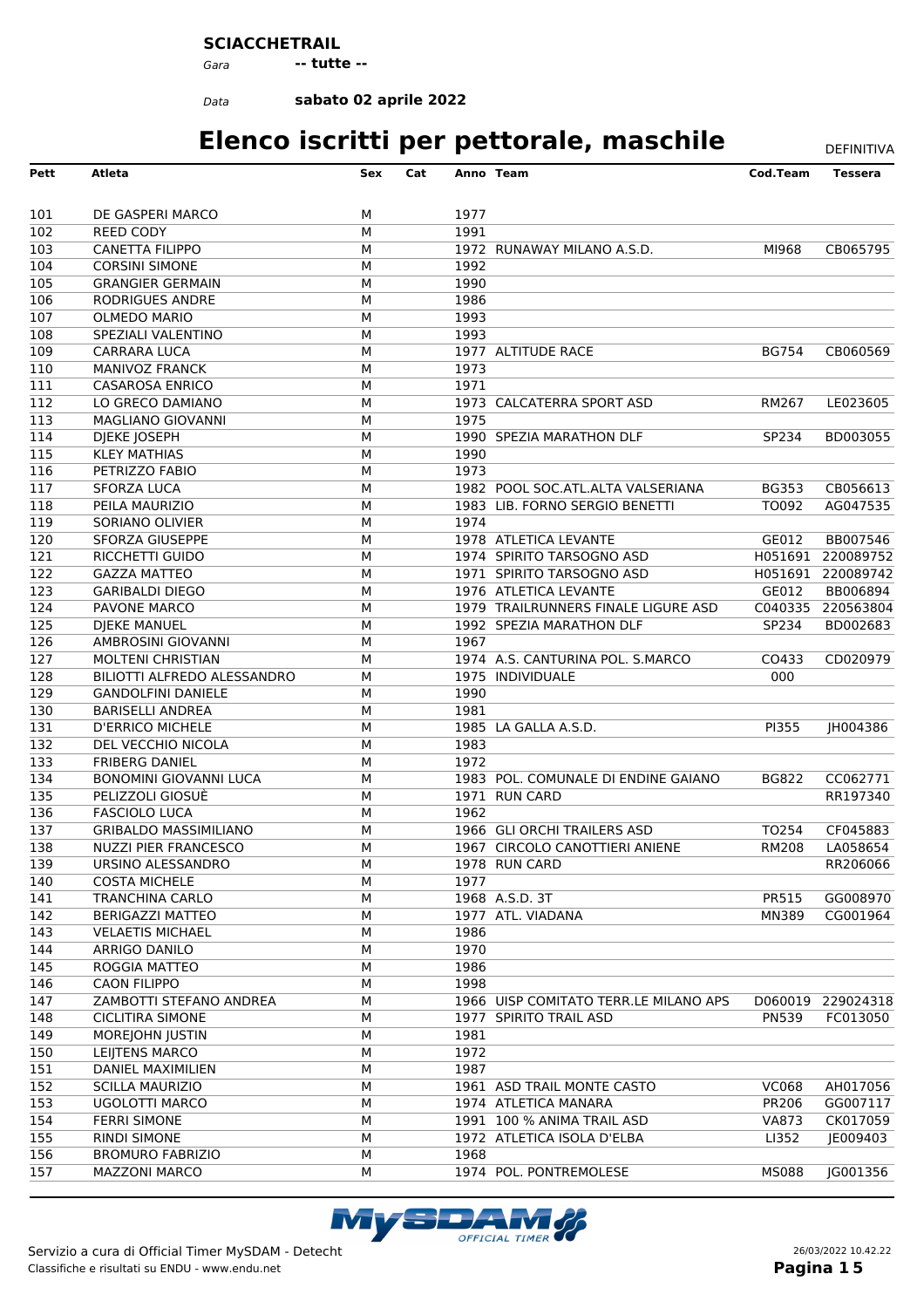#### **SCIACCHETRAIL**

*Gara* **-- tutte --**

*Data*

**sabato 02 aprile 2022**

| Pett             | <b>Atleta</b>                 | Sex | Cat |      | Anno Team                             | Cod.Team     | <b>Tessera</b>    |
|------------------|-------------------------------|-----|-----|------|---------------------------------------|--------------|-------------------|
| 101              | DE GASPERI MARCO              | М   |     | 1977 |                                       |              |                   |
| 102              | <b>REED CODY</b>              | M   |     | 1991 |                                       |              |                   |
| 103              | <b>CANETTA FILIPPO</b>        | М   |     |      | 1972 RUNAWAY MILANO A.S.D.            | MI968        | CB065795          |
| 104              | <b>CORSINI SIMONE</b>         | М   |     | 1992 |                                       |              |                   |
| 105              | <b>GRANGIER GERMAIN</b>       | M   |     | 1990 |                                       |              |                   |
| 106              | RODRIGUES ANDRE               | М   |     | 1986 |                                       |              |                   |
| 107              | <b>OLMEDO MARIO</b>           | М   |     | 1993 |                                       |              |                   |
| 108              | SPEZIALI VALENTINO            | М   |     | 1993 |                                       |              |                   |
| 109              | CARRARA LUCA                  | М   |     |      | 1977 ALTITUDE RACE                    | <b>BG754</b> | CB060569          |
| 110              | <b>MANIVOZ FRANCK</b>         | М   |     | 1973 |                                       |              |                   |
| 111              | <b>CASAROSA ENRICO</b>        | M   |     | 1971 |                                       |              |                   |
| 112              | LO GRECO DAMIANO              | М   |     |      | 1973 CALCATERRA SPORT ASD             | RM267        | LE023605          |
| 113              | <b>MAGLIANO GIOVANNI</b>      | М   |     | 1975 |                                       |              |                   |
| 114              | DJEKE JOSEPH                  | M   |     |      | 1990 SPEZIA MARATHON DLF              | SP234        | BD003055          |
| 115              | <b>KLEY MATHIAS</b>           | М   |     | 1990 |                                       |              |                   |
| 116              | PETRIZZO FABIO                | М   |     | 1973 |                                       |              |                   |
| 117              | <b>SFORZA LUCA</b>            | M   |     |      | 1982 POOL SOC.ATL.ALTA VALSERIANA     | <b>BG353</b> | CB056613          |
| 118              | PEILA MAURIZIO                | М   |     |      | 1983 LIB. FORNO SERGIO BENETTI        | TO092        | AG047535          |
| 119              | SORIANO OLIVIER               | М   |     | 1974 |                                       |              |                   |
| 120              | <b>SFORZA GIUSEPPE</b>        | М   |     |      | 1978 ATLETICA LEVANTE                 | GE012        | BB007546          |
| 121              | RICCHETTI GUIDO               | М   |     |      | 1974 SPIRITO TARSOGNO ASD             |              | H051691 220089752 |
| $\overline{122}$ | <b>GAZZA MATTEO</b>           | М   |     |      | 1971 SPIRITO TARSOGNO ASD             | H051691      | 220089742         |
| 123              | <b>GARIBALDI DIEGO</b>        | M   |     |      | 1976 ATLETICA LEVANTE                 | GE012        | BB006894          |
| 124              | PAVONE MARCO                  | М   |     |      | 1979 TRAILRUNNERS FINALE LIGURE ASD   | C040335      | 220563804         |
| $\overline{125}$ | <b>DJEKE MANUEL</b>           | М   |     |      | 1992 SPEZIA MARATHON DLF              | SP234        | BD002683          |
| 126              | AMBROSINI GIOVANNI            | M   |     | 1967 |                                       |              |                   |
| 127              | <b>MOLTENI CHRISTIAN</b>      | М   |     |      | 1974 A.S. CANTURINA POL. S.MARCO      | CO433        | CD020979          |
| 128              | BILIOTTI ALFREDO ALESSANDRO   | М   |     |      | 1975 INDIVIDUALE                      | 000          |                   |
| 129              | <b>GANDOLFINI DANIELE</b>     | M   |     | 1990 |                                       |              |                   |
| 130              | <b>BARISELLI ANDREA</b>       | М   |     | 1981 |                                       |              |                   |
| 131              | <b>D'ERRICO MICHELE</b>       | М   |     |      | 1985 LA GALLA A.S.D.                  | PI355        | JH004386          |
| 132              | DEL VECCHIO NICOLA            | M   |     | 1983 |                                       |              |                   |
| 133              | <b>FRIBERG DANIEL</b>         | М   |     | 1972 |                                       |              |                   |
| 134              | <b>BONOMINI GIOVANNI LUCA</b> | М   |     |      | 1983 POL. COMUNALE DI ENDINE GAIANO   | <b>BG822</b> | CC062771          |
| 135              | PELIZZOLI GIOSUÈ              | M   |     |      | 1971 RUN CARD                         |              | RR197340          |
| 136              | <b>FASCIOLO LUCA</b>          | М   |     | 1962 |                                       |              |                   |
| 137              | <b>GRIBALDO MASSIMILIANO</b>  | М   |     |      | 1966 GLI ORCHI TRAILERS ASD           | TO254        | CF045883          |
| 138              | <b>NUZZI PIER FRANCESCO</b>   | М   |     |      | 1967 CIRCOLO CANOTTIERI ANIENE        | <b>RM208</b> | LA058654          |
| 139              | URSINO ALESSANDRO             | М   |     |      | 1978 RUN CARD                         |              | RR206066          |
| 140              | <b>COSTA MICHELE</b>          | М   |     | 1977 |                                       |              |                   |
| 141              | TRANCHINA CARLO               | М   |     |      | 1968 A.S.D. 3T                        | PR515        | GG008970          |
| 142              | BERIGAZZI MATTEO              | М   |     |      | 1977 ATL. VIADANA                     | <b>MN389</b> | CG001964          |
| 143              | <b>VELAETIS MICHAEL</b>       | м   |     | 1986 |                                       |              |                   |
| 144              | ARRIGO DANILO                 | М   |     | 1970 |                                       |              |                   |
| 145              | ROGGIA MATTEO                 | М   |     | 1986 |                                       |              |                   |
| 146              | <b>CAON FILIPPO</b>           | М   |     | 1998 |                                       |              |                   |
| 147              | ZAMBOTTI STEFANO ANDREA       | М   |     |      | 1966 UISP COMITATO TERR.LE MILANO APS | D060019      | 229024318         |
| 148              | <b>CICLITIRA SIMONE</b>       | М   |     |      | 1977 SPIRITO TRAIL ASD                | <b>PN539</b> | FC013050          |
| 149              | MOREJOHN JUSTIN               | М   |     | 1981 |                                       |              |                   |
| 150              | LEIJTENS MARCO                | М   |     | 1972 |                                       |              |                   |
| 151              | DANIEL MAXIMILIEN             | М   |     | 1987 |                                       |              |                   |
| 152              | <b>SCILLA MAURIZIO</b>        | М   |     |      | 1961 ASD TRAIL MONTE CASTO            | <b>VC068</b> | AH017056          |
| 153              | UGOLOTTI MARCO                | М   |     |      | 1974 ATLETICA MANARA                  | PR206        | GG007117          |
| 154              | <b>FERRI SIMONE</b>           | М   |     |      | 1991 100 % ANIMA TRAIL ASD            | <b>VA873</b> | CK017059          |
| 155              | <b>RINDI SIMONE</b>           | м   |     |      | 1972 ATLETICA ISOLA D'ELBA            | LI352        | JE009403          |
| 156              | <b>BROMURO FABRIZIO</b>       | М   |     | 1968 |                                       |              |                   |
| 157              | <b>MAZZONI MARCO</b>          | М   |     |      | 1974 POL. PONTREMOLESE                | <b>MS088</b> | JG001356          |
|                  |                               |     |     |      |                                       |              |                   |

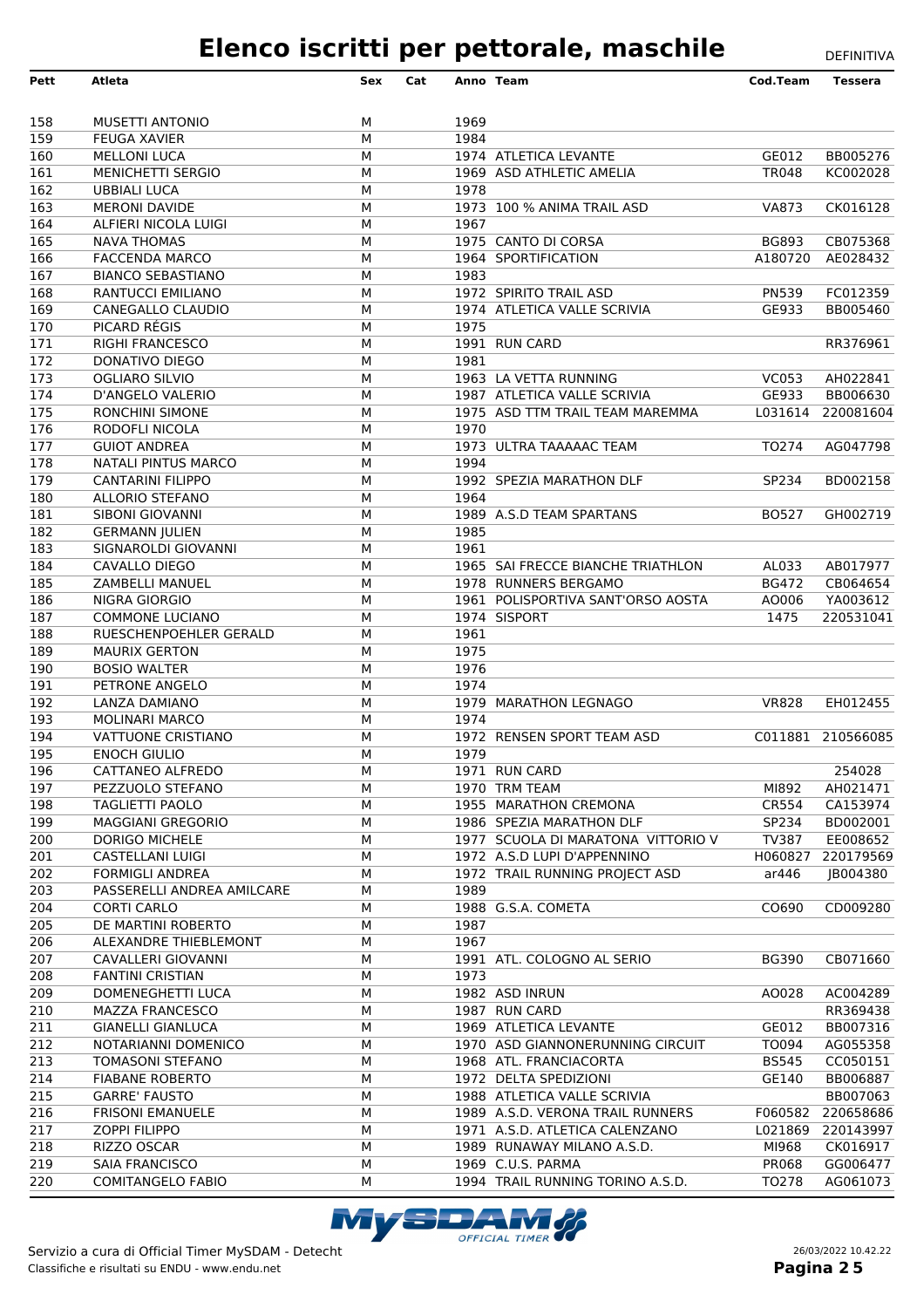| Pett       | Atleta                                            | Sex    | Cat |              | Anno Team                                            | Cod.Team                | <b>Tessera</b>       |
|------------|---------------------------------------------------|--------|-----|--------------|------------------------------------------------------|-------------------------|----------------------|
|            |                                                   |        |     |              |                                                      |                         |                      |
| 158        | <b>MUSETTI ANTONIO</b>                            | м      |     | 1969         |                                                      |                         |                      |
| 159        | <b>FEUGA XAVIER</b>                               | M      |     | 1984         |                                                      |                         |                      |
| 160        | <b>MELLONI LUCA</b>                               | M      |     |              | 1974 ATLETICA LEVANTE                                | GE012                   | BB005276             |
| 161        | <b>MENICHETTI SERGIO</b>                          | M      |     |              | 1969 ASD ATHLETIC AMELIA                             | <b>TR048</b>            | KC002028             |
| 162        | <b>UBBIALI LUCA</b>                               | M      |     | 1978         |                                                      |                         |                      |
| 163        | <b>MERONI DAVIDE</b>                              | M      |     |              | 1973 100 % ANIMA TRAIL ASD                           | <b>VA873</b>            | CK016128             |
| 164        | ALFIERI NICOLA LUIGI                              | М      |     | 1967         |                                                      |                         |                      |
| 165        | <b>NAVA THOMAS</b>                                | M      |     |              | 1975 CANTO DI CORSA                                  | <b>BG893</b><br>A180720 | CB075368             |
| 166<br>167 | <b>FACCENDA MARCO</b><br><b>BIANCO SEBASTIANO</b> | M<br>M |     | 1983         | 1964 SPORTIFICATION                                  |                         | AE028432             |
| 168        | RANTUCCI EMILIANO                                 | M      |     |              | 1972 SPIRITO TRAIL ASD                               | <b>PN539</b>            | FC012359             |
| 169        | CANEGALLO CLAUDIO                                 | M      |     |              | 1974 ATLETICA VALLE SCRIVIA                          | GE933                   | BB005460             |
| 170        | PICARD RÉGIS                                      | М      |     | 1975         |                                                      |                         |                      |
| 171        | <b>RIGHI FRANCESCO</b>                            | M      |     |              | 1991 RUN CARD                                        |                         | RR376961             |
| 172        | DONATIVO DIEGO                                    | M      |     | 1981         |                                                      |                         |                      |
| 173        | <b>OGLIARO SILVIO</b>                             | М      |     |              | 1963 LA VETTA RUNNING                                | <b>VC053</b>            | AH022841             |
| 174        | D'ANGELO VALERIO                                  | M      |     |              | 1987 ATLETICA VALLE SCRIVIA                          | GE933                   | BB006630             |
| 175        | <b>RONCHINI SIMONE</b>                            | M      |     |              | 1975 ASD TTM TRAIL TEAM MAREMMA                      | L031614                 | 220081604            |
| 176        | RODOFLI NICOLA                                    | М      |     | 1970         |                                                      |                         |                      |
| 177        | <b>GUIOT ANDREA</b>                               | M      |     |              | 1973 ULTRA TAAAAAC TEAM                              | TO274                   | AG047798             |
| 178        | NATALI PINTUS MARCO                               | M      |     | 1994         |                                                      |                         |                      |
| 179        | <b>CANTARINI FILIPPO</b>                          | М      |     |              | 1992 SPEZIA MARATHON DLF                             | SP234                   | BD002158             |
| 180        | <b>ALLORIO STEFANO</b>                            | M      |     | 1964         |                                                      |                         |                      |
| 181        | SIBONI GIOVANNI                                   | M      |     |              | 1989 A.S.D TEAM SPARTANS                             | <b>BO527</b>            | GH002719             |
| 182<br>183 | <b>GERMANN JULIEN</b><br>SIGNAROLDI GIOVANNI      | M<br>M |     | 1985<br>1961 |                                                      |                         |                      |
| 184        | CAVALLO DIEGO                                     | M      |     |              | 1965 SAI FRECCE BIANCHE TRIATHLON                    | AL033                   | AB017977             |
| 185        | <b>ZAMBELLI MANUEL</b>                            | М      |     |              | 1978 RUNNERS BERGAMO                                 | <b>BG472</b>            | CB064654             |
| 186        | NIGRA GIORGIO                                     | M      |     |              | 1961 POLISPORTIVA SANT'ORSO AOSTA                    | AO006                   | YA003612             |
| 187        | <b>COMMONE LUCIANO</b>                            | M      |     |              | 1974 SISPORT                                         | 1475                    | 220531041            |
| 188        | RUESCHENPOEHLER GERALD                            | M      |     | 1961         |                                                      |                         |                      |
| 189        | <b>MAURIX GERTON</b>                              | M      |     | 1975         |                                                      |                         |                      |
| 190        | <b>BOSIO WALTER</b>                               | M      |     | 1976         |                                                      |                         |                      |
| 191        | PETRONE ANGELO                                    | М      |     | 1974         |                                                      |                         |                      |
| 192        | <b>LANZA DAMIANO</b>                              | M      |     |              | 1979 MARATHON LEGNAGO                                | <b>VR828</b>            | EH012455             |
| 193        | <b>MOLINARI MARCO</b>                             | M      |     | 1974         |                                                      |                         |                      |
| 194        | <b>VATTUONE CRISTIANO</b>                         | M      |     |              | 1972 RENSEN SPORT TEAM ASD                           |                         | C011881 210566085    |
| 195        | <b>ENOCH GIULIO</b>                               | M      |     | 1979         |                                                      |                         |                      |
| 196        | CATTANEO ALFREDO                                  | м      |     |              | 1971 RUN CARD                                        |                         | 254028               |
| 197        | PEZZUOLO STEFANO                                  | М      |     |              | 1970 TRM TEAM                                        | MI892                   | AH021471             |
| 198<br>199 | <b>TAGLIETTI PAOLO</b><br>MAGGIANI GREGORIO       | М<br>М |     |              | 1955 MARATHON CREMONA<br>1986 SPEZIA MARATHON DLF    | CR554<br>SP234          | CA153974<br>BD002001 |
| 200        | DORIGO MICHELE                                    | М      |     |              | 1977 SCUOLA DI MARATONA VITTORIO V                   | TV387                   | EE008652             |
| 201        | CASTELLANI LUIGI                                  | М      |     |              | 1972 A.S.D LUPI D'APPENNINO                          | H060827                 | 220179569            |
| 202        | <b>FORMIGLI ANDREA</b>                            | М      |     |              | 1972 TRAIL RUNNING PROJECT ASD                       | ar446                   | JB004380             |
| 203        | PASSERELLI ANDREA AMILCARE                        | М      |     | 1989         |                                                      |                         |                      |
| 204        | <b>CORTI CARLO</b>                                | М      |     |              | 1988 G.S.A. COMETA                                   | CO690                   | CD009280             |
| 205        | DE MARTINI ROBERTO                                | М      |     | 1987         |                                                      |                         |                      |
| 206        | <b>ALEXANDRE THIEBLEMONT</b>                      | М      |     | 1967         |                                                      |                         |                      |
| 207        | <b>CAVALLERI GIOVANNI</b>                         | М      |     |              | 1991 ATL. COLOGNO AL SERIO                           | <b>BG390</b>            | CB071660             |
| 208        | <b>FANTINI CRISTIAN</b>                           | М      |     | 1973         |                                                      |                         |                      |
| 209        | DOMENEGHETTI LUCA                                 | М      |     |              | 1982 ASD INRUN                                       | AO028                   | AC004289             |
| 210        | MAZZA FRANCESCO                                   | М      |     |              | 1987 RUN CARD                                        |                         | RR369438             |
| 211        | <b>GIANELLI GIANLUCA</b>                          | М      |     |              | 1969 ATLETICA LEVANTE                                | GE012                   | BB007316             |
| 212        | NOTARIANNI DOMENICO                               | М      |     |              | 1970 ASD GIANNONERUNNING CIRCUIT                     | TO094                   | AG055358             |
| 213        | <b>TOMASONI STEFANO</b>                           | М      |     |              | 1968 ATL. FRANCIACORTA                               | <b>BS545</b>            | CC050151             |
| 214<br>215 | <b>FIABANE ROBERTO</b><br><b>GARRE' FAUSTO</b>    | М<br>М |     |              | 1972 DELTA SPEDIZIONI<br>1988 ATLETICA VALLE SCRIVIA | GE140                   | BB006887<br>BB007063 |
| 216        | <b>FRISONI EMANUELE</b>                           | М      |     |              | 1989 A.S.D. VERONA TRAIL RUNNERS                     | F060582                 | 220658686            |
| 217        | <b>ZOPPI FILIPPO</b>                              | М      |     |              | 1971 A.S.D. ATLETICA CALENZANO                       |                         | L021869 220143997    |
| 218        | RIZZO OSCAR                                       | М      |     |              | 1989 RUNAWAY MILANO A.S.D.                           | MI968                   | CK016917             |
| 219        | <b>SAIA FRANCISCO</b>                             | М      |     |              | 1969 C.U.S. PARMA                                    | PR068                   | GG006477             |
| 220        | <b>COMITANGELO FABIO</b>                          | М      |     |              | 1994 TRAIL RUNNING TORINO A.S.D.                     | TO278                   | AG061073             |
|            |                                                   |        |     |              |                                                      |                         |                      |

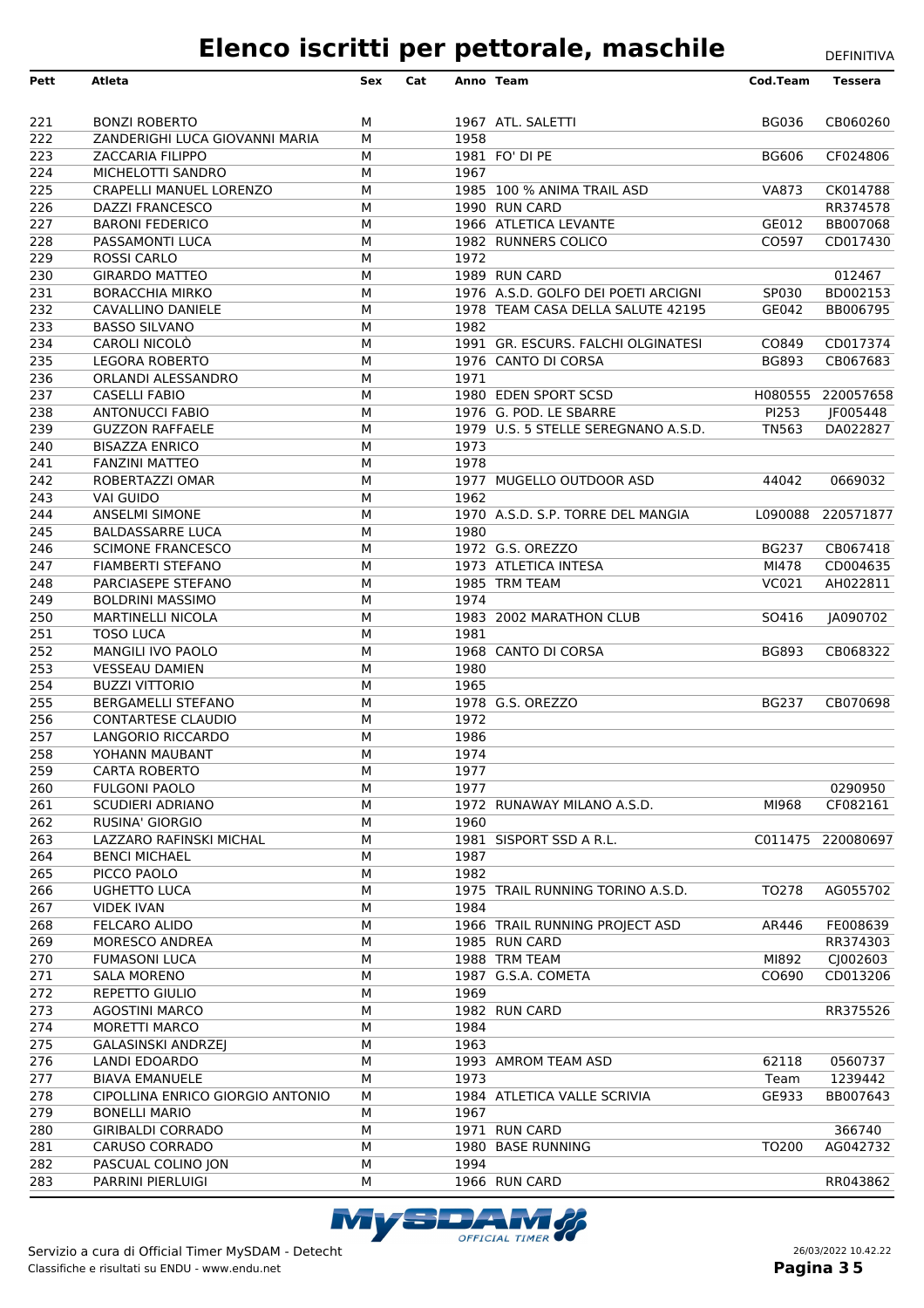| Pett             | Atleta                                                   | Sex    | Cat |      | Anno Team                           | Cod.Team     | <b>Tessera</b>    |
|------------------|----------------------------------------------------------|--------|-----|------|-------------------------------------|--------------|-------------------|
|                  |                                                          |        |     |      |                                     |              |                   |
| 221              | <b>BONZI ROBERTO</b>                                     | м      |     |      | 1967 ATL. SALETTI                   | <b>BG036</b> | CB060260          |
| $\overline{222}$ | ZANDERIGHI LUCA GIOVANNI MARIA                           | М      |     | 1958 |                                     |              |                   |
| 223              | <b>ZACCARIA FILIPPO</b>                                  | М      |     |      | 1981 FO' DI PE                      | <b>BG606</b> | CF024806          |
| 224              | MICHELOTTI SANDRO                                        | М      |     | 1967 |                                     |              |                   |
| 225              | CRAPELLI MANUEL LORENZO                                  | М      |     |      | 1985 100 % ANIMA TRAIL ASD          | <b>VA873</b> | CK014788          |
| 226              | <b>DAZZI FRANCESCO</b>                                   | М      |     |      | 1990 RUN CARD                       |              | RR374578          |
| 227              | <b>BARONI FEDERICO</b>                                   | М      |     |      | 1966 ATLETICA LEVANTE               | GE012        | BB007068          |
| 228<br>229       | PASSAMONTI LUCA<br><b>ROSSI CARLO</b>                    | М<br>М |     | 1972 | 1982 RUNNERS COLICO                 | CO597        | CD017430          |
| 230              | <b>GIRARDO MATTEO</b>                                    | М      |     |      | 1989 RUN CARD                       |              | 012467            |
| 231              | <b>BORACCHIA MIRKO</b>                                   | М      |     |      | 1976 A.S.D. GOLFO DEI POETI ARCIGNI | SP030        | BD002153          |
| 232              | CAVALLINO DANIELE                                        | М      |     |      | 1978 TEAM CASA DELLA SALUTE 42195   | GE042        | BB006795          |
| 233              | <b>BASSO SILVANO</b>                                     | М      |     | 1982 |                                     |              |                   |
| 234              | CAROLI NICOLO                                            | М      |     |      | 1991 GR. ESCURS. FALCHI OLGINATESI  | CO849        | CD017374          |
| 235              | <b>LEGORA ROBERTO</b>                                    | М      |     |      | 1976 CANTO DI CORSA                 | <b>BG893</b> | CB067683          |
| 236              | ORLANDI ALESSANDRO                                       | М      |     | 1971 |                                     |              |                   |
| 237              | <b>CASELLI FABIO</b>                                     | М      |     |      | 1980 EDEN SPORT SCSD                |              | H080555 220057658 |
| 238              | <b>ANTONUCCI FABIO</b>                                   | М      |     |      | 1976 G. POD. LE SBARRE              | PI253        | JF005448          |
| 239              | <b>GUZZON RAFFAELE</b>                                   | М      |     |      | 1979 U.S. 5 STELLE SEREGNANO A.S.D. | <b>TN563</b> | DA022827          |
| 240              | <b>BISAZZA ENRICO</b>                                    | М      |     | 1973 |                                     |              |                   |
| 241              | <b>FANZINI MATTEO</b>                                    | М      |     | 1978 |                                     |              |                   |
| 242              | ROBERTAZZI OMAR                                          | М      |     |      | 1977 MUGELLO OUTDOOR ASD            | 44042        | 0669032           |
| 243              | <b>VAI GUIDO</b>                                         | М      |     | 1962 |                                     |              |                   |
| 244<br>245       | <b>ANSELMI SIMONE</b>                                    | М      |     |      | 1970 A.S.D. S.P. TORRE DEL MANGIA   |              | L090088 220571877 |
| 246              | <b>BALDASSARRE LUCA</b><br><b>SCIMONE FRANCESCO</b>      | М<br>М |     | 1980 | 1972 G.S. OREZZO                    | <b>BG237</b> | CB067418          |
| 247              | <b>FIAMBERTI STEFANO</b>                                 | М      |     |      | 1973 ATLETICA INTESA                | MI478        | CD004635          |
| 248              | PARCIASEPE STEFANO                                       | М      |     |      | 1985 TRM TEAM                       | VC021        | AH022811          |
| 249              | <b>BOLDRINI MASSIMO</b>                                  | М      |     | 1974 |                                     |              |                   |
| 250              | <b>MARTINELLI NICOLA</b>                                 | М      |     |      | 1983 2002 MARATHON CLUB             | SO416        | JA090702          |
| 251              | <b>TOSO LUCA</b>                                         | М      |     | 1981 |                                     |              |                   |
| 252              | MANGILI IVO PAOLO                                        | М      |     |      | 1968 CANTO DI CORSA                 | <b>BG893</b> | CB068322          |
| 253              | <b>VESSEAU DAMIEN</b>                                    | М      |     | 1980 |                                     |              |                   |
| 254              | <b>BUZZI VITTORIO</b>                                    | М      |     | 1965 |                                     |              |                   |
| 255              | <b>BERGAMELLI STEFANO</b>                                | М      |     |      | 1978 G.S. OREZZO                    | <b>BG237</b> | CB070698          |
| 256              | <b>CONTARTESE CLAUDIO</b>                                | М      |     | 1972 |                                     |              |                   |
| 257              | LANGORIO RICCARDO                                        | М      |     | 1986 |                                     |              |                   |
| 258              | YOHANN MAUBANT                                           | М      |     | 1974 |                                     |              |                   |
| 259              | <b>CARTA ROBERTO</b>                                     | М      |     | 1977 |                                     |              |                   |
| 260              | <b>FULGONI PAOLO</b>                                     | М      |     | 1977 |                                     |              | 0290950           |
| 261<br>262       | SCUDIERI ADRIANO<br>RUSINA' GIORGIO                      | м<br>М |     | 1960 | 1972 RUNAWAY MILANO A.S.D.          | MI968        | CF082161          |
| 263              | LAZZARO RAFINSKI MICHAL                                  | М      |     |      | 1981 SISPORT SSD A R.L.             |              | C011475 220080697 |
| 264              | <b>BENCI MICHAEL</b>                                     | М      |     | 1987 |                                     |              |                   |
| 265              | PICCO PAOLO                                              | М      |     | 1982 |                                     |              |                   |
| 266              | <b>UGHETTO LUCA</b>                                      | М      |     |      | 1975 TRAIL RUNNING TORINO A.S.D.    | TO278        | AG055702          |
| 267              | <b>VIDEK IVAN</b>                                        | М      |     | 1984 |                                     |              |                   |
| 268              | FELCARO ALIDO                                            | М      |     |      | 1966 TRAIL RUNNING PROJECT ASD      | AR446        | FE008639          |
| 269              | MORESCO ANDREA                                           | М      |     |      | 1985 RUN CARD                       |              | RR374303          |
| 270              | <b>FUMASONI LUCA</b>                                     | М      |     |      | 1988 TRM TEAM                       | MI892        | CJ002603          |
| 271              | <b>SALA MORENO</b>                                       | М      |     |      | 1987 G.S.A. COMETA                  | CO690        | CD013206          |
| 272              | REPETTO GIULIO                                           | М      |     | 1969 |                                     |              |                   |
| 273              | <b>AGOSTINI MARCO</b>                                    | м      |     |      | 1982 RUN CARD                       |              | RR375526          |
| 274              | MORETTI MARCO                                            | М      |     | 1984 |                                     |              |                   |
| 275              | <b>GALASINSKI ANDRZEJ</b>                                | М      |     | 1963 |                                     |              |                   |
| 276              | LANDI EDOARDO                                            | М      |     |      | 1993 AMROM TEAM ASD                 | 62118        | 0560737           |
| 277              | <b>BIAVA EMANUELE</b>                                    | М      |     | 1973 |                                     | Team         | 1239442           |
| 278<br>279       | CIPOLLINA ENRICO GIORGIO ANTONIO<br><b>BONELLI MARIO</b> | М<br>М |     | 1967 | 1984 ATLETICA VALLE SCRIVIA         | GE933        | BB007643          |
| 280              | <b>GIRIBALDI CORRADO</b>                                 | М      |     |      | 1971 RUN CARD                       |              | 366740            |
| 281              | <b>CARUSO CORRADO</b>                                    | М      |     |      | 1980 BASE RUNNING                   | TO200        | AG042732          |
| 282              | PASCUAL COLINO JON                                       | М      |     | 1994 |                                     |              |                   |
| 283              | PARRINI PIERLUIGI                                        | М      |     |      | 1966 RUN CARD                       |              | RR043862          |

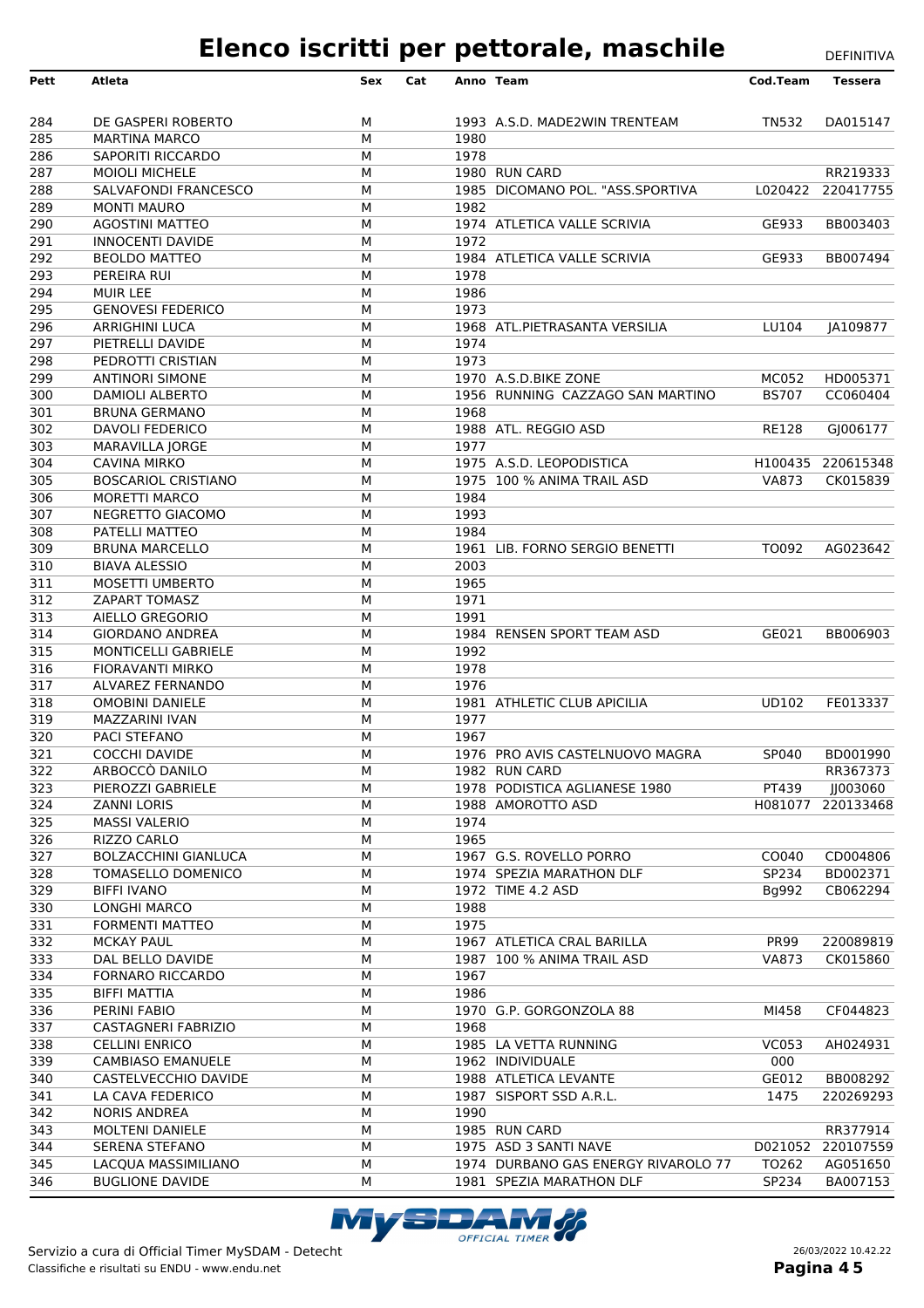| Pett | <b>Atleta</b>               | Sex | Cat |      | Anno Team                           | Cod.Team     | <b>Tessera</b>    |
|------|-----------------------------|-----|-----|------|-------------------------------------|--------------|-------------------|
| 284  | DE GASPERI ROBERTO          | м   |     |      | 1993 A.S.D. MADE2WIN TRENTEAM       | TN532        | DA015147          |
| 285  | <b>MARTINA MARCO</b>        | M   |     | 1980 |                                     |              |                   |
| 286  | <b>SAPORITI RICCARDO</b>    | M   |     | 1978 |                                     |              |                   |
| 287  | <b>MOIOLI MICHELE</b>       | м   |     |      | 1980 RUN CARD                       |              | RR219333          |
| 288  | SALVAFONDI FRANCESCO        | M   |     |      | 1985 DICOMANO POL. "ASS.SPORTIVA    |              | L020422 220417755 |
| 289  | <b>MONTI MAURO</b>          | M   |     | 1982 |                                     |              |                   |
| 290  | <b>AGOSTINI MATTEO</b>      | M   |     |      | 1974 ATLETICA VALLE SCRIVIA         | GE933        | BB003403          |
| 291  | <b>INNOCENTI DAVIDE</b>     | M   |     | 1972 |                                     |              |                   |
| 292  | <b>BEOLDO MATTEO</b>        | M   |     |      | 1984 ATLETICA VALLE SCRIVIA         | GE933        | BB007494          |
| 293  | <b>PEREIRA RUI</b>          | M   |     | 1978 |                                     |              |                   |
| 294  | <b>MUIR LEE</b>             | M   |     | 1986 |                                     |              |                   |
| 295  | <b>GENOVESI FEDERICO</b>    | M   |     | 1973 |                                     |              |                   |
| 296  | <b>ARRIGHINI LUCA</b>       | M   |     |      | 1968 ATL.PIETRASANTA VERSILIA       | LU104        | JA109877          |
| 297  | PIETRELLI DAVIDE            | M   |     | 1974 |                                     |              |                   |
| 298  | PEDROTTI CRISTIAN           | M   |     | 1973 |                                     |              |                   |
| 299  | <b>ANTINORI SIMONE</b>      | M   |     |      | 1970 A.S.D.BIKE ZONE                | <b>MC052</b> | HD005371          |
| 300  | <b>DAMIOLI ALBERTO</b>      | M   |     |      | 1956 RUNNING CAZZAGO SAN MARTINO    | <b>BS707</b> | CC060404          |
| 301  | <b>BRUNA GERMANO</b>        | M   |     | 1968 |                                     |              |                   |
| 302  | DAVOLI FEDERICO             | M   |     |      | 1988 ATL. REGGIO ASD                | <b>RE128</b> | GJ006177          |
| 303  | MARAVILLA JORGE             | M   |     | 1977 |                                     |              |                   |
| 304  | <b>CAVINA MIRKO</b>         | M   |     |      | 1975 A.S.D. LEOPODISTICA            |              | H100435 220615348 |
| 305  | <b>BOSCARIOL CRISTIANO</b>  | M   |     |      | 1975 100 % ANIMA TRAIL ASD          | <b>VA873</b> | CK015839          |
| 306  | <b>MORETTI MARCO</b>        | M   |     | 1984 |                                     |              |                   |
| 307  | NEGRETTO GIACOMO            | М   |     | 1993 |                                     |              |                   |
| 308  | PATELLI MATTEO              | M   |     | 1984 |                                     |              |                   |
| 309  | <b>BRUNA MARCELLO</b>       | M   |     |      | 1961 LIB. FORNO SERGIO BENETTI      | TO092        | AG023642          |
| 310  | <b>BIAVA ALESSIO</b>        | M   |     | 2003 |                                     |              |                   |
| 311  | <b>MOSETTI UMBERTO</b>      | M   |     | 1965 |                                     |              |                   |
| 312  | <b>ZAPART TOMASZ</b>        | M   |     | 1971 |                                     |              |                   |
| 313  | AIELLO GREGORIO             | M   |     | 1991 |                                     |              |                   |
| 314  | <b>GIORDANO ANDREA</b>      | M   |     |      | 1984 RENSEN SPORT TEAM ASD          | GE021        | BB006903          |
| 315  | MONTICELLI GABRIELE         | M   |     | 1992 |                                     |              |                   |
| 316  | <b>FIORAVANTI MIRKO</b>     | M   |     | 1978 |                                     |              |                   |
| 317  | ALVAREZ FERNANDO            | M   |     | 1976 |                                     |              |                   |
| 318  | <b>OMOBINI DANIELE</b>      | M   |     |      | 1981 ATHLETIC CLUB APICILIA         | <b>UD102</b> | FE013337          |
| 319  | MAZZARINI IVAN              | M   |     | 1977 |                                     |              |                   |
| 320  | <b>PACI STEFANO</b>         | M   |     | 1967 |                                     |              |                   |
| 321  | <b>COCCHI DAVIDE</b>        | М   |     |      | 1976 PRO AVIS CASTELNUOVO MAGRA     | SP040        | BD001990          |
| 322  | ARBOCCÓ DANILO              | м   |     |      | 1982 RUN CARD                       |              | RR367373          |
| 323  | PIEROZZI GABRIELE           | М   |     |      | 1978 PODISTICA AGLIANESE 1980       | PT439        | JJ003060          |
| 324  | <b>ZANNI LORIS</b>          | М   |     |      | 1988 AMOROTTO ASD                   |              | H081077 220133468 |
| 325  | <b>MASSI VALERIO</b>        | М   |     | 1974 |                                     |              |                   |
| 326  | RIZZO CARLO                 | М   |     | 1965 |                                     |              |                   |
| 327  | <b>BOLZACCHINI GIANLUCA</b> | М   |     |      | 1967 G.S. ROVELLO PORRO             | CO040        | CD004806          |
| 328  | TOMASELLO DOMENICO          | М   |     |      | 1974 SPEZIA MARATHON DLF            | SP234        | BD002371          |
| 329  | <b>BIFFI IVANO</b>          | м   |     |      | 1972 TIME 4.2 ASD                   | Bg992        | CB062294          |
| 330  | <b>LONGHI MARCO</b>         | М   |     | 1988 |                                     |              |                   |
| 331  | <b>FORMENTI MATTEO</b>      | М   |     | 1975 |                                     |              |                   |
| 332  | <b>MCKAY PAUL</b>           | М   |     |      | 1967 ATLETICA CRAL BARILLA          | <b>PR99</b>  | 220089819         |
| 333  | DAL BELLO DAVIDE            | М   |     |      | 1987 100 % ANIMA TRAIL ASD          | <b>VA873</b> | CK015860          |
| 334  | <b>FORNARO RICCARDO</b>     | М   |     | 1967 |                                     |              |                   |
| 335  | <b>BIFFI MATTIA</b>         | М   |     | 1986 |                                     |              |                   |
| 336  | PERINI FABIO                | М   |     |      | 1970 G.P. GORGONZOLA 88             | MI458        | CF044823          |
| 337  | <b>CASTAGNERI FABRIZIO</b>  | М   |     | 1968 |                                     |              |                   |
| 338  | <b>CELLINI ENRICO</b>       | М   |     |      | 1985 LA VETTA RUNNING               | <b>VC053</b> | AH024931          |
| 339  | <b>CAMBIASO EMANUELE</b>    | М   |     |      | 1962 INDIVIDUALE                    | 000          |                   |
| 340  | CASTELVECCHIO DAVIDE        | М   |     |      | 1988 ATLETICA LEVANTE               | GE012        | BB008292          |
| 341  | LA CAVA FEDERICO            | М   |     |      | 1987 SISPORT SSD A.R.L.             | 1475         | 220269293         |
| 342  | <b>NORIS ANDREA</b>         | М   |     | 1990 |                                     |              |                   |
| 343  | <b>MOLTENI DANIELE</b>      | М   |     |      | 1985 RUN CARD                       |              | RR377914          |
| 344  | <b>SERENA STEFANO</b>       | М   |     |      | 1975 ASD 3 SANTI NAVE               |              | D021052 220107559 |
| 345  | LACQUA MASSIMILIANO         | М   |     |      | 1974 DURBANO GAS ENERGY RIVAROLO 77 | TO262        | AG051650          |
| 346  | <b>BUGLIONE DAVIDE</b>      | М   |     |      | 1981 SPEZIA MARATHON DLF            | SP234        | BA007153          |